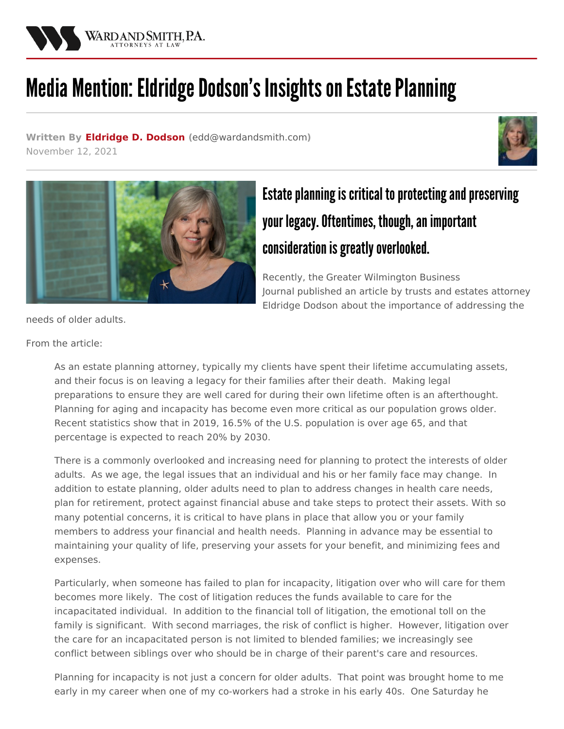

## Media Mention: Eldridge Dodson's Insights on Estate Planning

**Written By [Eldridge](/attorneys/eldridge-dodson) D. Dodson (**[edd@wardandsmith.com](mailto:edd@wardandsmith.com)**)** November 12, 2021





## Estate planning is critical to protecting and preserving your legacy. Oftentimes, though, an important consideration is greatly overlooked.

Recently, the Greater [Wilmington](https://www.wilmingtonbiz.com/) Business Journal published an article by trusts and estates attorney [Eldridge](/attorneys/eldridge-dodson) Dodson about the importance of addressing the

needs of older adults.

From the article:

As an estate planning attorney, typically my clients have spent their lifetime accumulating assets, and their focus is on leaving a legacy for their families after their death. Making legal preparations to ensure they are well cared for during their own lifetime often is an afterthought. Planning for aging and incapacity has become even more critical as our population grows older. Recent statistics show that in 2019, 16.5% of the U.S. population is over age 65, and that percentage is expected to reach 20% by 2030.

There is a commonly overlooked and increasing need for planning to protect the interests of older adults. As we age, the legal issues that an individual and his or her family face may change. In addition to estate planning, older adults need to plan to address changes in health care needs, plan for retirement, protect against financial abuse and take steps to protect their assets. With so many potential concerns, it is critical to have plans in place that allow you or your family members to address your financial and health needs. Planning in advance may be essential to maintaining your quality of life, preserving your assets for your benefit, and minimizing fees and expenses.

Particularly, when someone has failed to plan for incapacity, litigation over who will care for them becomes more likely. The cost of litigation reduces the funds available to care for the incapacitated individual. In addition to the financial toll of litigation, the emotional toll on the family is significant. With second marriages, the risk of conflict is higher. However, litigation over the care for an incapacitated person is not limited to blended families; we increasingly see conflict between siblings over who should be in charge of their parent's care and resources.

Planning for incapacity is not just a concern for older adults. That point was brought home to me early in my career when one of my co-workers had a stroke in his early 40s. One Saturday he